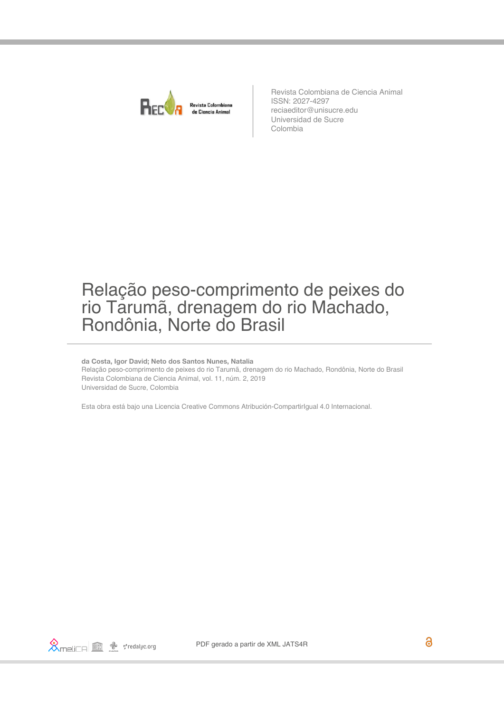

Revista Colombiana de Ciencia Animal ISSN: 2027-4297 reciaeditor@unisucre.edu Universidad de Sucre Colombia

# Relação peso-comprimento de peixes do rio Tarumã, drenagem do rio Machado, Rondônia, Norte do Brasil

#### **da Costa, Igor David; Neto dos Santos Nunes, Natalia**

Relação peso-comprimento de peixes do rio Tarumã, drenagem do rio Machado, Rondônia, Norte do Brasil Revista Colombiana de Ciencia Animal, vol. 11, núm. 2, 2019 Universidad de Sucre, Colombia

[Esta obra está bajo una Licencia Creative Commons Atribución-CompartirIgual 4.0 Internacional.](https://creativecommons.org/licenses/by-sa/4.0/)

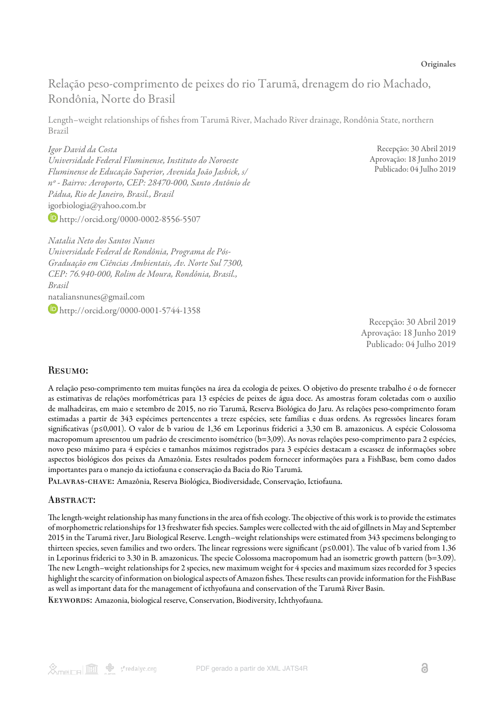Relação peso-comprimento de peixes do rio Tarumã, drenagem do rio Machado, Rondônia, Norte do Brasil

Length–weight relationships of fishes from Tarumã River, Machado River drainage, Rondônia State, northern Brazil

*Igor David da Costa Universidade Federal Fluminense, Instituto do Noroeste Fluminense de Educação Superior, Avenida João Jasbick, s/ nº - Bairro: Aeroporto, CEP: 28470-000, Santo Antônio de Pádua, Rio de Janeiro, Brasil., Brasil* igorbiologia@yahoo.com.br <http://orcid.org/0000-0002-8556-5507>

Recepção: 30 Abril 2019 Aprovação: 18 Junho 2019 Publicado: 04 Julho 2019

*Natalia Neto dos Santos Nunes Universidade Federal de Rondônia, Programa de Pós-Graduação em Ciências Ambientais, Av. Norte Sul 7300, CEP: 76.940-000, Rolim de Moura, Rondônia, Brasil., Brasil* nataliansnunes@gmail.com

**D** <http://orcid.org/0000-0001-5744-1358>

Recepção: 30 Abril 2019 Aprovação: 18 Junho 2019 Publicado: 04 Julho 2019

#### Resumo:

A relação peso-comprimento tem muitas funções na área da ecologia de peixes. O objetivo do presente trabalho é o de fornecer as estimativas de relações morfométricas para 13 espécies de peixes de água doce. As amostras foram coletadas com o auxílio de malhadeiras, em maio e setembro de 2015, no rio Tarumã, Reserva Biológica do Jaru. As relações peso-comprimento foram estimadas a partir de 343 espécimes pertencentes a treze espécies, sete famílias e duas ordens. As regressões lineares foram significativas (p≤0,001). O valor de b variou de 1,36 em Leporinus friderici a 3,30 em B. amazonicus. A espécie Colossoma macropomum apresentou um padrão de crescimento isométrico (b=3,09). As novas relações peso-comprimento para 2 espécies, novo peso máximo para 4 espécies e tamanhos máximos registrados para 3 espécies destacam a escassez de informações sobre aspectos biológicos dos peixes da Amazônia. Estes resultados podem fornecer informações para a FishBase, bem como dados importantes para o manejo da ictiofauna e conservação da Bacia do Rio Tarumã.

Palavras-chave: Amazônia, Reserva Biológica, Biodiversidade, Conservação, Ictiofauna.

#### ABSTRACT:

The length-weight relationship has many functions in the area of fish ecology. The objective of this work is to provide the estimates of morphometric relationships for 13 freshwater fish species. Samples were collected with the aid of gillnets in May and September 2015 in the Tarumã river, Jaru Biological Reserve. Length–weight relationships were estimated from 343 specimens belonging to thirteen species, seven families and two orders. The linear regressions were significant ( $p \le 0.001$ ). The value of b varied from 1.36 in Leporinus friderici to 3.30 in B. amazonicus. The specie Colossoma macropomum had an isometric growth pattern  $(b=3.09)$ . The new Length–weight relationships for 2 species, new maximum weight for 4 species and maximum sizes recorded for 3 species highlight the scarcity of information on biological aspects of Amazon fishes. These results can provide information for the FishBase as well as important data for the management of icthyofauna and conservation of the Tarumã River Basin.

KEYWORDS: Amazonia, biological reserve, Conservation, Biodiversity, Ichthyofauna.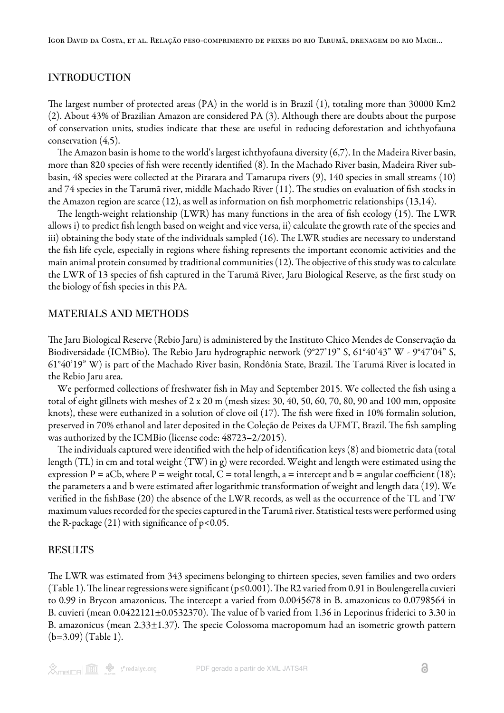## INTRODUCTION

The largest number of protected areas (PA) in the world is in Brazil  $(1)$  $(1)$ , totaling more than 30000 Km2 ([2\)](#page-4-1). About 43% of Brazilian Amazon are considered PA ([3](#page-4-2)). Although there are doubts about the purpose of conservation units, studies indicate that these are useful in reducing deforestation and ichthyofauna conservation [\(4](#page-4-3),[5](#page-4-4)).

The Amazon basin is home to the world's largest ichthyofauna diversity  $(6,7)$  $(6,7)$  $(6,7)$  $(6,7)$ . In the Madeira River basin, more than 820 species of fish were recently identified ([8](#page-4-7)). In the Machado River basin, Madeira River subbasin, 48 species were collected at the Pirarara and Tamarupa rivers ([9\)](#page-4-8), 140 species in small streams ([10](#page-4-9)) and 74 species in the Tarumã river, middle Machado River [\(11](#page-4-10)). The studies on evaluation of fish stocks in the Amazon region are scarce [\(12](#page-4-11)), as well as information on fish morphometric relationships [\(13](#page-4-12)[,14](#page-4-13)).

The length-weight relationship (LWR) has many functions in the area of fish ecology [\(15\)](#page-4-14). The LWR allows i) to predict fish length based on weight and vice versa, ii) calculate the growth rate of the species and iii) obtaining the body state of the individuals sampled ([16](#page-4-15)). The LWR studies are necessary to understand the fish life cycle, especially in regions where fishing represents the important economic activities and the main animal protein consumed by traditional communities ([12](#page-4-11)). The objective of this study was to calculate the LWR of 13 species of fish captured in the Tarumã River, Jaru Biological Reserve, as the first study on the biology of fish species in this PA.

#### MATERIALS AND METHODS

e Jaru Biological Reserve (Rebio Jaru) is administered by the Instituto Chico Mendes de Conservação da Biodiversidade (ICMBio). The Rebio Jaru hydrographic network (9°27'19" S, 61°40'43" W - 9°47'04" S, 61°40'19" W) is part of the Machado River basin, Rondônia State, Brazil. The Tarumã River is located in the Rebio Jaru area.

We performed collections of freshwater fish in May and September 2015. We collected the fish using a total of eight gillnets with meshes of 2 x 20 m (mesh sizes: 30, 40, 50, 60, 70, 80, 90 and 100 mm, opposite knots), these were euthanized in a solution of clove oil ([17](#page-4-16)). The fish were fixed in 10% formalin solution, preserved in 70% ethanol and later deposited in the Coleção de Peixes da UFMT, Brazil. The fish sampling was authorized by the ICMBio (license code: 48723–2/2015).

The individuals captured were identified with the help of identification keys [\(8\)](#page-4-7) and biometric data (total length (TL) in cm and total weight (TW) in g) were recorded. Weight and length were estimated using the expression P = aCb, where P = weight total, C = total length, a = intercept and b = angular coefficient ([18\)](#page-5-0); the parameters a and b were estimated after logarithmic transformation of weight and length data [\(19](#page-5-1)). We verified in the fishBase [\(20](#page-5-2)) the absence of the LWR records, as well as the occurrence of the TL and TW maximum values recorded for the species captured in the Tarumã river. Statistical tests were performed using the R-package  $(21)$  $(21)$  with significance of  $p<0.05$ .

#### RESULTS

The LWR was estimated from 343 specimens belonging to thirteen species, seven families and two orders ([Table 1\)](#page-3-0). The linear regressions were significant ( $p \le 0.001$ ). The R2 varied from 0.91 in Boulengerella cuvieri to 0.99 in Brycon amazonicus. The intercept a varied from 0.0045678 in B. amazonicus to 0.0798564 in B. cuvieri (mean  $0.0422121 \pm 0.0532370$ ). The value of b varied from 1.36 in Leporinus friderici to 3.30 in B. amazonicus (mean  $2.33\pm1.37$ ). The specie Colossoma macropomum had an isometric growth pattern (b=3.09) ([Table 1](#page-3-0)).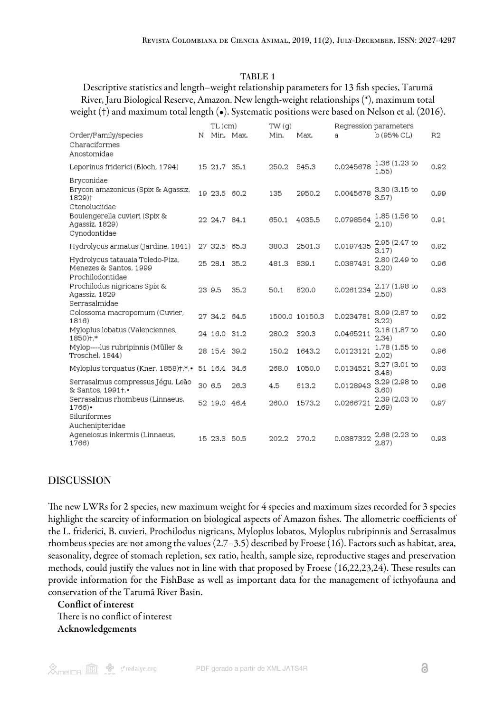### TABLE 1

<span id="page-3-0"></span>Descriptive statistics and length–weight relationship parameters for 13 fish species, Tarumã River, Jaru Biological Reserve, Amazon. New length-weight relationships (\*), maximum total weight (†) and maximum total length (•). Systematic positions were based on Nelson et al. (2016).

|                                                                                |   | TL (cm)      |      | TW(q) |                |           | Regression parameters  |                |
|--------------------------------------------------------------------------------|---|--------------|------|-------|----------------|-----------|------------------------|----------------|
| Order/Family/species<br>Characiformes<br>Anostomidae                           | Ν | Min. Max.    |      | Min.  | Max.           | a         | b (95% CL)             | R <sub>2</sub> |
| Leporinus friderici (Bloch, 1794)                                              |   | 15 21 7 35 1 |      | 250.2 | 545.3          | 0.0245678 | 1.36 (1.23 to<br>1.55) | 0.92           |
| Bryconidae<br>Brycon amazonicus (Spix & Agassiz,<br>1829)†<br>Ctenoluciidae    |   | 19 23 5 60.2 |      | 135   | 2950.2         | 0.0045678 | 3.30 (3.15 to<br>3.57) | 0.99           |
| Boulengerella cuvieri (Spix &<br>Agassiz, 1829)<br>Cynodontidae                |   | 22 24.7 84.1 |      | 650.1 | 4035.5         | 0.0798564 | 1.85 (1.56 to<br>2.10) | 0.91           |
| Hydrolycus armatus (Jardine, 1841)                                             |   | 27 32.5      | 65.3 | 380.3 | 2501.3         | 0.0197435 | 2.95 (2.47 to<br>3.17) | 0.92           |
| Hydrolycus tatauaia Toledo-Piza,<br>Menezes & Santos, 1999<br>Prochilodontidae |   | 25 28.1      | 35.2 | 481.3 | 839.1          | 0.0387431 | 2.80 (2.49 to<br>3.20) | 0.96           |
| Prochilodus nigricans Spix &<br>Agassiz, 1829                                  |   | 23 9.5       | 35.2 | 50.1  | 820.0          | 0.0261234 | 2.17 (1.98 to<br>2.50) | 0.93           |
| Serrasalmidae<br>Colossoma macropomum (Cuvier,<br>1816)                        |   | 27 34.2      | 64.5 |       | 1500.0 10150.3 | 0.0234781 | 3.09 (2.87 to<br>3.22) | 0.92           |
| Myloplus lobatus (Valenciennes,<br>1850)+.*                                    |   | 24 16.0      | 31.2 | 280.2 | 320.3          | 0.0465211 | 2.18 (1.87 to<br>2.34) | 0.90           |
| Mylop----lus rubripinnis (Müller &<br>Troschel, 1844)                          |   | 28 15.4 39.2 |      | 150.2 | 1643.2         | 0.0123121 | 1.78 (1.55 to<br>2.02) | 0.96           |
| Myloplus torquatus (Kner, 1858)+,*,•                                           |   | 51 16.4 34.6 |      | 268.0 | 1050.0         | 0.0134521 | 3.27 (3.01 to<br>3.48) | 0.93           |
| Serrasalmus compressus Jégu, Leão<br>& Santos, 1991+.•                         |   | 30 6.5       | 26.3 | 4.5   | 613.2          | 0.0128943 | 3.29 (2.98 to<br>3.60) | 0.96           |
| Serrasalmus rhombeus (Linnaeus,<br>$1766$ ).<br>Siluriformes                   |   | 52 19.0 46.4 |      | 260.0 | 1573.2         | 0.0266721 | 2.39 (2.03 to<br>2.69) | 0.97           |
| Auchenipteridae<br>Ageneiosus inkermis (Linnaeus,<br>1766)                     |   | 15 23.3 50.5 |      | 202.2 | 270.2          | 0.0387322 | 2.68 (2.23 to<br>2.87) | 0.93           |

## DISCUSSION

The new LWRs for 2 species, new maximum weight for 4 species and maximum sizes recorded for 3 species highlight the scarcity of information on biological aspects of Amazon fishes. The allometric coefficients of the L. friderici, B. cuvieri, Prochilodus nigricans, Myloplus lobatos, Myloplus rubripinnis and Serrasalmus rhombeus species are not among the values (2.7–3.5) described by Froese (16). Factors such as habitat, area, seasonality, degree of stomach repletion, sex ratio, health, sample size, reproductive stages and preservation methods, could justify the values not in line with that proposed by Froese ([16](#page-4-15),[22,](#page-5-4)[23,](#page-5-5)[24\)](#page-5-6). These results can provide information for the FishBase as well as important data for the management of icthyofauna and conservation of the Tarumã River Basin.

Conflict of interest There is no conflict of interest Acknowledgements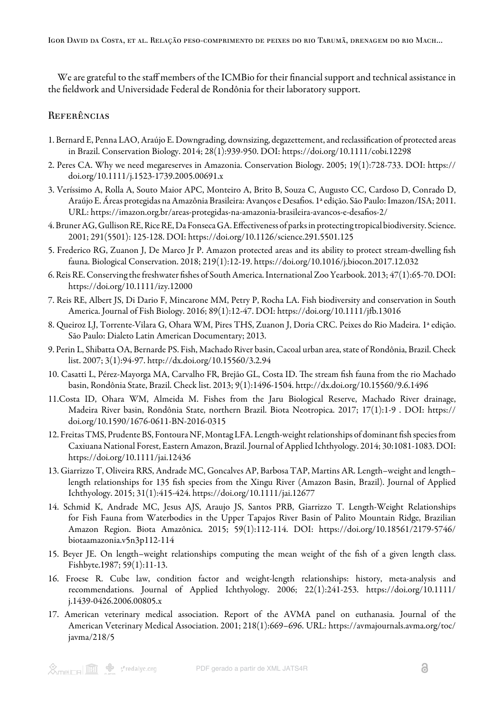We are grateful to the staff members of the ICMBio for their financial support and technical assistance in the fieldwork and Universidade Federal de Rondônia for their laboratory support.

## **REFERÊNCIAS**

- <span id="page-4-0"></span>1. Bernard E, Penna LAO, Araújo E. Downgrading, downsizing, degazettement, and reclassification of protected areas in Brazil. Conservation Biology. 2014; 28(1):939-950. DOI: https://doi.org/10.1111/cobi.12298
- <span id="page-4-1"></span>2. Peres CA. Why we need megareserves in Amazonia. Conservation Biology. 2005; 19(1):728-733. DOI: https:// doi.org/10.1111/j.1523-1739.2005.00691.x
- <span id="page-4-2"></span>3. Veríssimo A, Rolla A, Souto Maior APC, Monteiro A, Brito B, Souza C, Augusto CC, Cardoso D, Conrado D, Araújo E. Áreas protegidas na Amazônia Brasileira: Avanços e Desafios. 1ª edição. São Paulo: Imazon/ISA; 2011. URL: https://imazon.org.br/areas-protegidas-na-amazonia-brasileira-avancos-e-desafios-2/
- <span id="page-4-3"></span>4. Bruner AG, Gullison RE, Rice RE, Da Fonseca GA. Effectiveness of parks in protecting tropical biodiversity. Science. 2001; 291(5501): 125-128. DOI: https://doi.org/10.1126/science.291.5501.125
- <span id="page-4-4"></span>5. Frederico RG, Zuanon J, De Marco Jr P. Amazon protected areas and its ability to protect stream-dwelling fish fauna. Biological Conservation. 2018; 219(1):12-19. https://doi.org/10.1016/j.biocon.2017.12.032
- <span id="page-4-5"></span>6. Reis RE. Conserving the freshwater fishes of South America. International Zoo Yearbook. 2013; 47(1):65-70. DOI: https://doi.org/10.1111/izy.12000
- <span id="page-4-6"></span>7. Reis RE, Albert JS, Di Dario F, Mincarone MM, Petry P, Rocha LA. Fish biodiversity and conservation in South America. Journal of Fish Biology. 2016; 89(1):12-47. DOI: https://doi.org/10.1111/jfb.13016
- <span id="page-4-7"></span>8. Queiroz LJ, Torrente-Vilara G, Ohara WM, Pires THS, Zuanon J, Doria CRC. Peixes do Rio Madeira. 1ª edição. São Paulo: Dialeto Latin American Documentary; 2013.
- <span id="page-4-8"></span>9. Perin L, Shibatta OA, Bernarde PS. Fish, Machado River basin, Cacoal urban area, state of Rondônia, Brazil. Check list. 2007; 3(1):94-97. http://dx.doi.org/10.15560/3.2.94
- <span id="page-4-9"></span>10. Casatti L, Pérez-Mayorga MA, Carvalho FR, Brejão GL, Costa ID. The stream fish fauna from the rio Machado basin, Rondônia State, Brazil. Check list. 2013; 9(1):1496-1504. http://dx.doi.org/10.15560/9.6.1496
- <span id="page-4-10"></span>11.Costa ID, Ohara WM, Almeida M. Fishes from the Jaru Biological Reserve, Machado River drainage, Madeira River basin, Rondônia State, northern Brazil. Biota Neotropica. 2017; 17(1):1-9 . DOI: https:// doi.org/10.1590/1676-0611-BN-2016-0315
- <span id="page-4-11"></span>12. Freitas TMS, Prudente BS, Fontoura NF, Montag LFA. Length-weight relationships of dominant fish species from Caxiuana National Forest, Eastern Amazon, Brazil. Journal of Applied Ichthyology. 2014; 30:1081-1083. DOI: https://doi.org/10.1111/jai.12436
- <span id="page-4-12"></span>13. Giarrizzo T, Oliveira RRS, Andrade MC, Goncalves AP, Barbosa TAP, Martins AR. Length–weight and length– length relationships for 135 fish species from the Xingu River (Amazon Basin, Brazil). Journal of Applied Ichthyology. 2015; 31(1):415-424. https://doi.org/10.1111/jai.12677
- <span id="page-4-13"></span>14. Schmid K, Andrade MC, Jesus AJS, Araujo JS, Santos PRB, Giarrizzo T. Length-Weight Relationships for Fish Fauna from Waterbodies in the Upper Tapajos River Basin of Palito Mountain Ridge, Brazilian Amazon Region. Biota Amazônica. 2015; 59(1):112-114. DOI: https://doi.org/10.18561/2179-5746/ biotaamazonia.v5n3p112-114
- <span id="page-4-14"></span>15. Beyer JE. On length–weight relationships computing the mean weight of the fish of a given length class. Fishbyte.1987; 59(1):11-13.
- <span id="page-4-15"></span>16. Froese R. Cube law, condition factor and weight-length relationships: history, meta-analysis and recommendations. Journal of Applied Ichthyology. 2006; 22(1):241-253. https://doi.org/10.1111/ j.1439-0426.2006.00805.x
- <span id="page-4-16"></span>17. American veterinary medical association. Report of the AVMA panel on euthanasia. Journal of the American Veterinary Medical Association. 2001; 218(1):669–696. URL: https://avmajournals.avma.org/toc/ javma/218/5